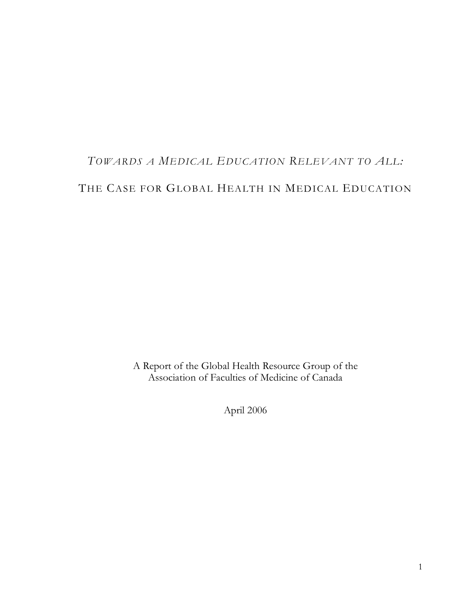# *TOWARDS A MEDICAL EDUCATION RELEVANT TO ALL:* THE CASE FOR GLOBAL HEALTH IN MEDICAL EDUCATION

A Report of the Global Health Resource Group of the Association of Faculties of Medicine of Canada

April 2006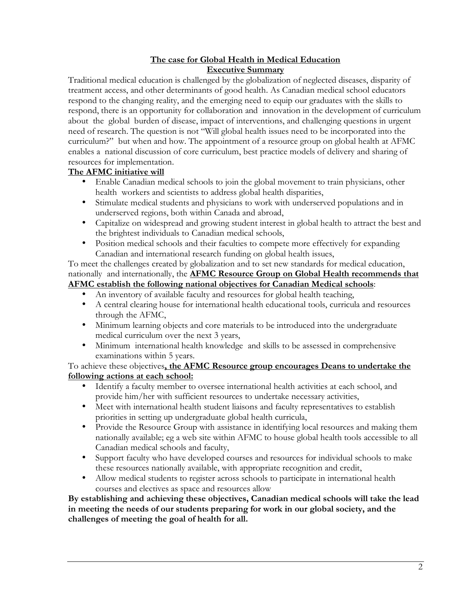#### **The case for Global Health in Medical Education Executive Summary**

Traditional medical education is challenged by the globalization of neglected diseases, disparity of treatment access, and other determinants of good health. As Canadian medical school educators respond to the changing reality, and the emerging need to equip our graduates with the skills to respond, there is an opportunity for collaboration and innovation in the development of curriculum about the global burden of disease, impact of interventions, and challenging questions in urgent need of research. The question is not "Will global health issues need to be incorporated into the curriculum?" but when and how. The appointment of a resource group on global health at AFMC enables a national discussion of core curriculum, best practice models of delivery and sharing of resources for implementation.

### **The AFMC initiative will**

- Enable Canadian medical schools to join the global movement to train physicians, other health workers and scientists to address global health disparities,
- Stimulate medical students and physicians to work with underserved populations and in underserved regions, both within Canada and abroad,
- Capitalize on widespread and growing student interest in global health to attract the best and the brightest individuals to Canadian medical schools,
- Position medical schools and their faculties to compete more effectively for expanding Canadian and international research funding on global health issues,

To meet the challenges created by globalization and to set new standards for medical education, nationally and internationally, the **AFMC Resource Group on Global Health recommends that AFMC establish the following national objectives for Canadian Medical schools**:

- An inventory of available faculty and resources for global health teaching,
- A central clearing house for international health educational tools, curricula and resources through the AFMC,
- Minimum learning objects and core materials to be introduced into the undergraduate medical curriculum over the next 3 years,
- Minimum international health knowledge and skills to be assessed in comprehensive examinations within 5 years.

#### To achieve these objectives**, the AFMC Resource group encourages Deans to undertake the following actions at each school:**

- Identify a faculty member to oversee international health activities at each school, and provide him/her with sufficient resources to undertake necessary activities,
- Meet with international health student liaisons and faculty representatives to establish priorities in setting up undergraduate global health curricula,
- Provide the Resource Group with assistance in identifying local resources and making them nationally available; eg a web site within AFMC to house global health tools accessible to all Canadian medical schools and faculty,
- Support faculty who have developed courses and resources for individual schools to make these resources nationally available, with appropriate recognition and credit,
- Allow medical students to register across schools to participate in international health courses and electives as space and resources allow

#### **By establishing and achieving these objectives, Canadian medical schools will take the lead in meeting the needs of our students preparing for work in our global society, and the challenges of meeting the goal of health for all.**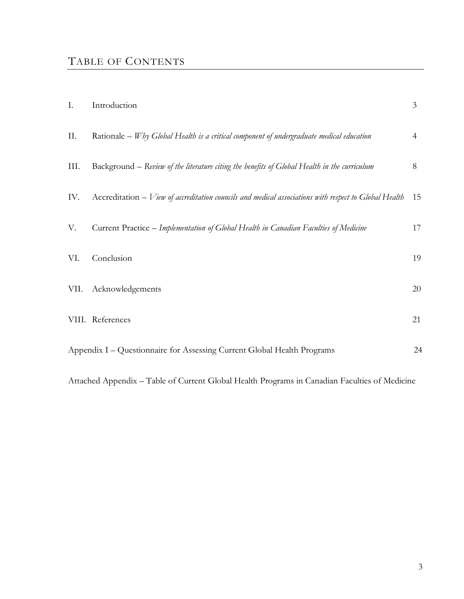## TABLE OF CONTENTS

| I.   | Introduction                                                                                             | 3  |
|------|----------------------------------------------------------------------------------------------------------|----|
| Π.   | Rationale $-W$ hy Global Health is a critical component of undergraduate medical education               | 4  |
| III. | Background – Review of the literature citing the benefits of Global Health in the curriculum             | 8  |
| IV.  | $Accreditation - V$ iew of accreditation councils and medical associations with respect to Global Health | 15 |
| V.   | Current Practice - Implementation of Global Health in Canadian Faculties of Medicine                     | 17 |
| VI.  | Conclusion                                                                                               | 19 |
| VII. | Acknowledgements                                                                                         | 20 |
|      | VIII. References                                                                                         | 21 |
|      | Appendix I – Questionnaire for Assessing Current Global Health Programs                                  | 24 |

Attached Appendix – Table of Current Global Health Programs in Canadian Faculties of Medicine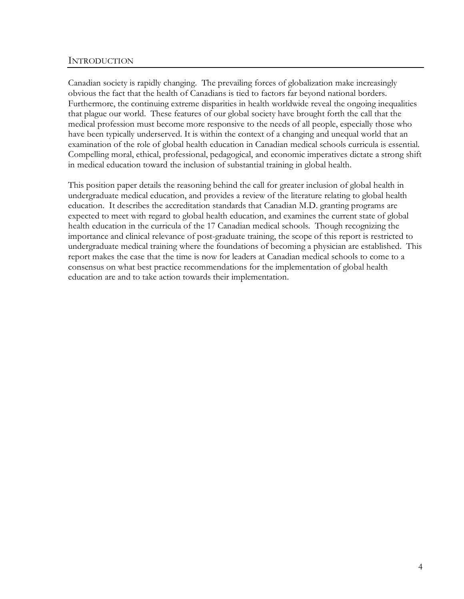#### INTRODUCTION

Canadian society is rapidly changing. The prevailing forces of globalization make increasingly obvious the fact that the health of Canadians is tied to factors far beyond national borders. Furthermore, the continuing extreme disparities in health worldwide reveal the ongoing inequalities that plague our world. These features of our global society have brought forth the call that the medical profession must become more responsive to the needs of all people, especially those who have been typically underserved. It is within the context of a changing and unequal world that an examination of the role of global health education in Canadian medical schools curricula is essential. Compelling moral, ethical, professional, pedagogical, and economic imperatives dictate a strong shift in medical education toward the inclusion of substantial training in global health.

This position paper details the reasoning behind the call for greater inclusion of global health in undergraduate medical education, and provides a review of the literature relating to global health education. It describes the accreditation standards that Canadian M.D. granting programs are expected to meet with regard to global health education, and examines the current state of global health education in the curricula of the 17 Canadian medical schools. Though recognizing the importance and clinical relevance of post-graduate training, the scope of this report is restricted to undergraduate medical training where the foundations of becoming a physician are established. This report makes the case that the time is now for leaders at Canadian medical schools to come to a consensus on what best practice recommendations for the implementation of global health education are and to take action towards their implementation.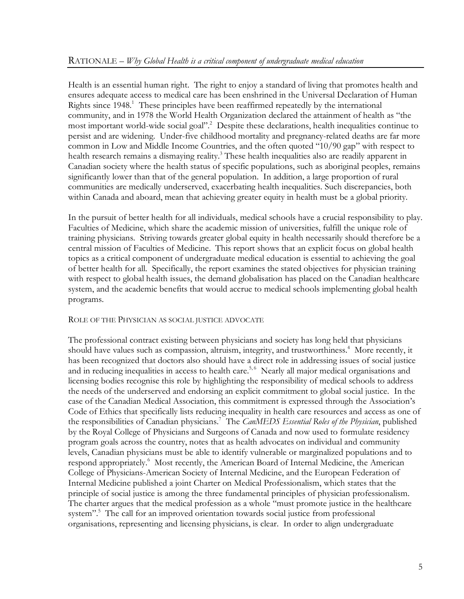Health is an essential human right. The right to enjoy a standard of living that promotes health and ensures adequate access to medical care has been enshrined in the Universal Declaration of Human Rights since 1948. <sup>1</sup> These principles have been reaffirmed repeatedly by the international community, and in 1978 the World Health Organization declared the attainment of health as "the most important world-wide social goal". <sup>2</sup> Despite these declarations, health inequalities continue to persist and are widening. Under-five childhood mortality and pregnancy-related deaths are far more common in Low and Middle Income Countries, and the often quoted "10/90 gap" with respect to health research remains a dismaying reality.<sup>3</sup> These health inequalities also are readily apparent in Canadian society where the health status of specific populations, such as aboriginal peoples, remains significantly lower than that of the general population. In addition, a large proportion of rural communities are medically underserved, exacerbating health inequalities. Such discrepancies, both within Canada and aboard, mean that achieving greater equity in health must be a global priority.

In the pursuit of better health for all individuals, medical schools have a crucial responsibility to play. Faculties of Medicine, which share the academic mission of universities, fulfill the unique role of training physicians. Striving towards greater global equity in health necessarily should therefore be a central mission of Faculties of Medicine. This report shows that an explicit focus on global health topics as a critical component of undergraduate medical education is essential to achieving the goal of better health for all. Specifically, the report examines the stated objectives for physician training with respect to global health issues, the demand globalisation has placed on the Canadian healthcare system, and the academic benefits that would accrue to medical schools implementing global health programs.

#### ROLE OF THE PHYSICIAN AS SOCIAL JUSTICE ADVOCATE

The professional contract existing between physicians and society has long held that physicians should have values such as compassion, altruism, integrity, and trustworthiness. <sup>4</sup> More recently, it has been recognized that doctors also should have a direct role in addressing issues of social justice and in reducing inequalities in access to health care.<sup>5,6</sup> Nearly all major medical organisations and licensing bodies recognise this role by highlighting the responsibility of medical schools to address the needs of the underserved and endorsing an explicit commitment to global social justice. In the case of the Canadian Medical Association, this commitment is expressed through the Association's Code of Ethics that specifically lists reducing inequality in health care resources and access as one of the responsibilities of Canadian physicians. <sup>7</sup> The *CanMEDS Essential Roles of the Physician*, published by the Royal College of Physicians and Surgeons of Canada and now used to formulate residency program goals across the country, notes that as health advocates on individual and community levels, Canadian physicians must be able to identify vulnerable or marginalized populations and to respond appropriately. <sup>6</sup> Most recently, the American Board of Internal Medicine, the American College of Physicians-American Society of Internal Medicine, and the European Federation of Internal Medicine published a joint Charter on Medical Professionalism, which states that the principle of social justice is among the three fundamental principles of physician professionalism. The charter argues that the medical profession as a whole "must promote justice in the healthcare system". <sup>5</sup> The call for an improved orientation towards social justice from professional organisations, representing and licensing physicians, is clear. In order to align undergraduate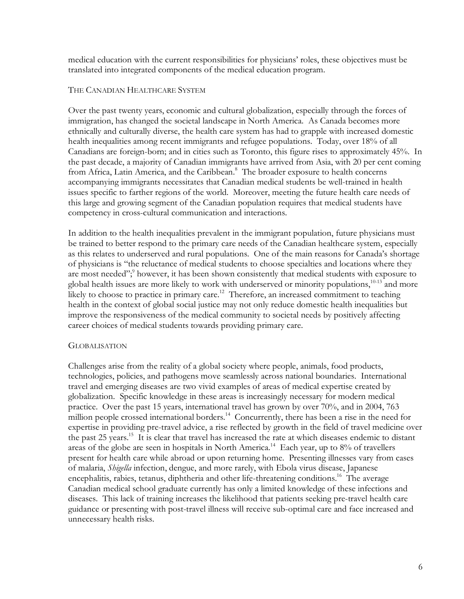medical education with the current responsibilities for physicians' roles, these objectives must be translated into integrated components of the medical education program.

#### THE CANADIAN HEALTHCARE SYSTEM

Over the past twenty years, economic and cultural globalization, especially through the forces of immigration, has changed the societal landscape in North America. As Canada becomes more ethnically and culturally diverse, the health care system has had to grapple with increased domestic health inequalities among recent immigrants and refugee populations. Today, over 18% of all Canadians are foreign-born; and in cities such as Toronto, this figure rises to approximately 45%. In the past decade, a majority of Canadian immigrants have arrived from Asia, with 20 per cent coming from Africa, Latin America, and the Caribbean.<sup>8</sup> The broader exposure to health concerns accompanying immigrants necessitates that Canadian medical students be well-trained in health issues specific to farther regions of the world. Moreover, meeting the future health care needs of this large and growing segment of the Canadian population requires that medical students have competency in cross-cultural communication and interactions.

In addition to the health inequalities prevalent in the immigrant population, future physicians must be trained to better respond to the primary care needs of the Canadian healthcare system, especially as this relates to underserved and rural populations. One of the main reasons for Canada's shortage of physicians is "the reluctance of medical students to choose specialties and locations where they are most needed";<sup>9</sup> however, it has been shown consistently that medical students with exposure to global health issues are more likely to work with underserved or minority populations,<sup>10-13</sup> and more likely to choose to practice in primary care.<sup>12</sup> Therefore, an increased commitment to teaching health in the context of global social justice may not only reduce domestic health inequalities but improve the responsiveness of the medical community to societal needs by positively affecting career choices of medical students towards providing primary care.

#### **GLOBALISATION**

Challenges arise from the reality of a global society where people, animals, food products, technologies, policies, and pathogens move seamlessly across national boundaries. International travel and emerging diseases are two vivid examples of areas of medical expertise created by globalization. Specific knowledge in these areas is increasingly necessary for modern medical practice. Over the past 15 years, international travel has grown by over 70%, and in 2004, 763 million people crossed international borders.<sup>14</sup> Concurrently, there has been a rise in the need for expertise in providing pre-travel advice, a rise reflected by growth in the field of travel medicine over the past 25 years.<sup>15</sup> It is clear that travel has increased the rate at which diseases endemic to distant areas of the globe are seen in hospitals in North America.<sup>14</sup> Each year, up to 8% of travellers present for health care while abroad or upon returning home. Presenting illnesses vary from cases of malaria, *Shigella* infection, dengue, and more rarely, with Ebola virus disease, Japanese encephalitis, rabies, tetanus, diphtheria and other life-threatening conditions.<sup>16</sup> The average Canadian medical school graduate currently has only a limited knowledge of these infections and diseases. This lack of training increases the likelihood that patients seeking pre-travel health care guidance or presenting with post-travel illness will receive sub-optimal care and face increased and unnecessary health risks.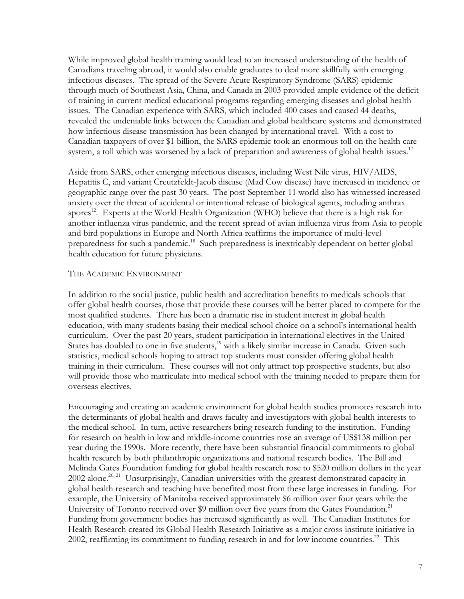While improved global health training would lead to an increased understanding of the health of Canadians traveling abroad, it would also enable graduates to deal more skillfully with emerging infectious diseases. The spread of the Severe Acute Respiratory Syndrome (SARS) epidemic through much of Southeast Asia, China, and Canada in 2003 provided ample evidence of the deficit of training in current medical educational programs regarding emerging diseases and global health issues. The Canadian experience with SARS, which included 400 cases and caused 44 deaths, revealed the undeniable links between the Canadian and global healthcare systems and demonstrated how infectious disease transmission has been changed by international travel. With a cost to Canadian taxpayers of over \$1 billion, the SARS epidemic took an enormous toll on the health care system, a toll which was worsened by a lack of preparation and awareness of global health issues.<sup>17</sup>

Aside from SARS, other emerging infectious diseases, including West Nile virus, HIV/AIDS, Hepatitis C, and variant Creutzfeldt-Jacob disease (Mad Cow disease) have increased in incidence or geographic range over the past 30 years. The post-September 11 world also has witnessed increased anxiety over the threat of accidental or intentional release of biological agents, including anthrax spores<sup>12</sup>. Experts at the World Health Organization (WHO) believe that there is a high risk for another influenza virus pandemic, and the recent spread of avian influenza virus from Asia to people and bird populations in Europe and North Africa reaffirms the importance of multi-level preparedness for such a pandemic.<sup>18</sup> Such preparedness is inextricably dependent on better global health education for future physicians.

#### THE ACADEMIC ENVIRONMENT

In addition to the social justice, public health and accreditation benefits to medicals schools that offer global health courses, those that provide these courses will be better placed to compete for the most qualified students. There has been a dramatic rise in student interest in global health education, with many students basing their medical school choice on a school's international health curriculum. Over the past 20 years, student participation in international electives in the United States has doubled to one in five students,<sup>19</sup> with a likely similar increase in Canada. Given such statistics, medical schools hoping to attract top students must consider offering global health training in their curriculum. These courses will not only attract top prospective students, but also will provide those who matriculate into medical school with the training needed to prepare them for overseas electives.

Encouraging and creating an academic environment for global health studies promotes research into the determinants of global health and draws faculty and investigators with global health interests to the medical school. In turn, active researchers bring research funding to the institution. Funding for research on health in low and middle-income countries rose an average of US\$138 million per year during the 1990s. More recently, there have been substantial financial commitments to global health research by both philanthropic organizations and national research bodies. The Bill and Melinda Gates Foundation funding for global health research rose to \$520 million dollars in the year 2002 alone.<sup>20, 21</sup> Unsurprisingly, Canadian universities with the greatest demonstrated capacity in global health research and teaching have benefited most from these large increases in funding. For example, the University of Manitoba received approximately \$6 million over four years while the University of Toronto received over \$9 million over five years from the Gates Foundation.<sup>21</sup> Funding from government bodies has increased significantly as well. The Canadian Institutes for Health Research created its Global Health Research Initiative as a major cross-institute initiative in 2002, reaffirming its commitment to funding research in and for low income countries.<sup>22</sup> This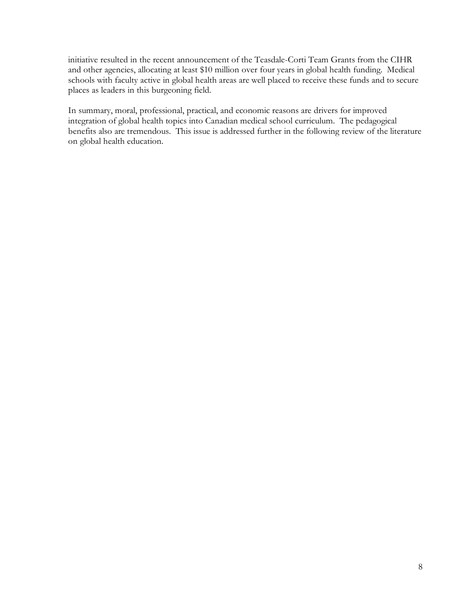initiative resulted in the recent announcement of the Teasdale-Corti Team Grants from the CIHR and other agencies, allocating at least \$10 million over four years in global health funding. Medical schools with faculty active in global health areas are well placed to receive these funds and to secure places as leaders in this burgeoning field.

In summary, moral, professional, practical, and economic reasons are drivers for improved integration of global health topics into Canadian medical school curriculum. The pedagogical benefits also are tremendous. This issue is addressed further in the following review of the literature on global health education.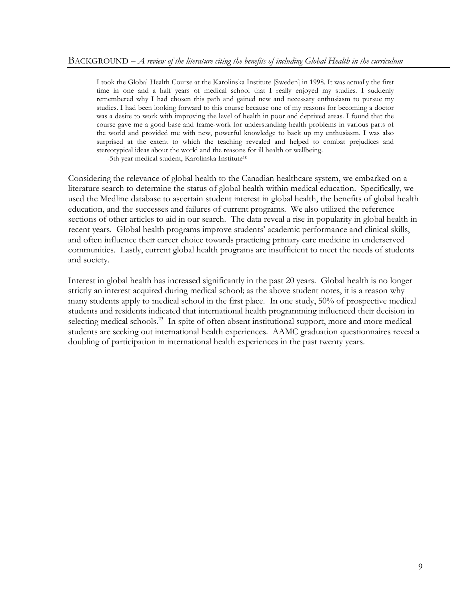I took the Global Health Course at the Karolinska Institute [Sweden] in 1998. It was actually the first time in one and a half years of medical school that I really enjoyed my studies. I suddenly remembered why I had chosen this path and gained new and necessary enthusiasm to pursue my studies. I had been looking forward to this course because one of my reasons for becoming a doctor was a desire to work with improving the level of health in poor and deprived areas. I found that the course gave me a good base and frame-work for understanding health problems in various parts of the world and provided me with new, powerful knowledge to back up my enthusiasm. I was also surprised at the extent to which the teaching revealed and helped to combat prejudices and stereotypical ideas about the world and the reasons for ill health or wellbeing. -5th year medical student, Karolinska Institute10

Considering the relevance of global health to the Canadian healthcare system, we embarked on a literature search to determine the status of global health within medical education. Specifically, we used the Medline database to ascertain student interest in global health, the benefits of global health education, and the successes and failures of current programs. We also utilized the reference sections of other articles to aid in our search. The data reveal a rise in popularity in global health in recent years. Global health programs improve students' academic performance and clinical skills, and often influence their career choice towards practicing primary care medicine in underserved communities. Lastly, current global health programs are insufficient to meet the needs of students and society.

Interest in global health has increased significantly in the past 20 years. Global health is no longer strictly an interest acquired during medical school; as the above student notes, it is a reason why many students apply to medical school in the first place. In one study, 50% of prospective medical students and residents indicated that international health programming influenced their decision in selecting medical schools.<sup>23</sup> In spite of often absent institutional support, more and more medical students are seeking out international health experiences. AAMC graduation questionnaires reveal a doubling of participation in international health experiences in the past twenty years.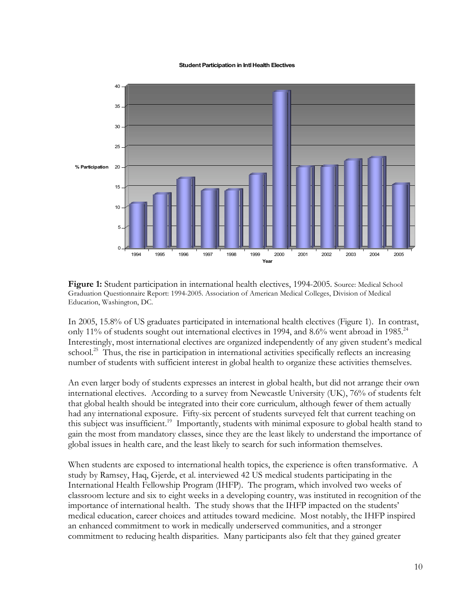#### **Student Participation in IntlHealth Electives**



**Figure 1:** Student participation in international health electives, 1994-2005. Source: Medical School Graduation Questionnaire Report: 1994-2005. Association of American Medical Colleges, Division of Medical Education, Washington, DC.

In 2005, 15.8% of US graduates participated in international health electives (Figure 1). In contrast, only 11% of students sought out international electives in 1994, and 8.6% went abroad in 1985.<sup>24</sup> Interestingly, most international electives are organized independently of any given student's medical school.<sup>25</sup> Thus, the rise in participation in international activities specifically reflects an increasing number of students with sufficient interest in global health to organize these activities themselves.

An even larger body of students expresses an interest in global health, but did not arrange their own international electives. According to a survey from Newcastle University (UK), 76% of students felt that global health should be integrated into their core curriculum, although fewer of them actually had any international exposure. Fifty-six percent of students surveyed felt that current teaching on this subject was insufficient.<sup>19</sup> Importantly, students with minimal exposure to global health stand to gain the most from mandatory classes, since they are the least likely to understand the importance of global issues in health care, and the least likely to search for such information themselves.

When students are exposed to international health topics, the experience is often transformative. A study by Ramsey, Haq, Gjerde, et al. interviewed 42 US medical students participating in the International Health Fellowship Program (IHFP). The program, which involved two weeks of classroom lecture and six to eight weeks in a developing country, was instituted in recognition of the importance of international health. The study shows that the IHFP impacted on the students' medical education, career choices and attitudes toward medicine. Most notably, the IHFP inspired an enhanced commitment to work in medically underserved communities, and a stronger commitment to reducing health disparities. Many participants also felt that they gained greater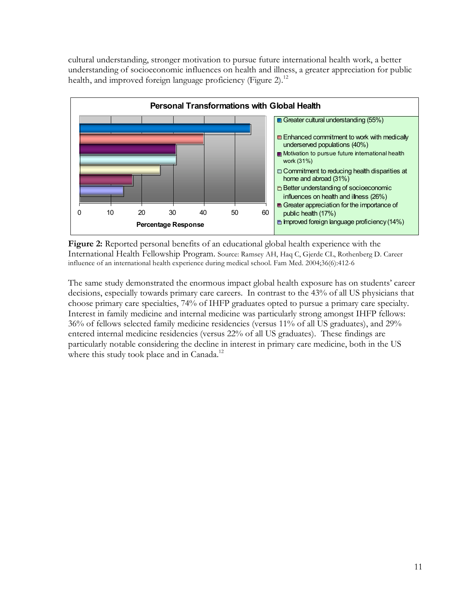cultural understanding, stronger motivation to pursue future international health work, a better understanding of socioeconomic influences on health and illness, a greater appreciation for public health, and improved foreign language proficiency (Figure 2).<sup>12</sup>



**Figure 2:** Reported personal benefits of an educational global health experience with the International Health Fellowship Program. Source: Ramsey AH, Haq C, Gjerde CL, Rothenberg D. Career influence of an international health experience during medical school. Fam Med. 2004;36(6):412-6

The same study demonstrated the enormous impact global health exposure has on students' career decisions, especially towards primary care careers. In contrast to the 43% of all US physicians that choose primary care specialties, 74% of IHFP graduates opted to pursue a primary care specialty. Interest in family medicine and internal medicine was particularly strong amongst IHFP fellows: 36% of fellows selected family medicine residencies (versus 11% of all US graduates), and 29% entered internal medicine residencies (versus 22% of all US graduates). These findings are particularly notable considering the decline in interest in primary care medicine, both in the US where this study took place and in Canada.<sup>12</sup>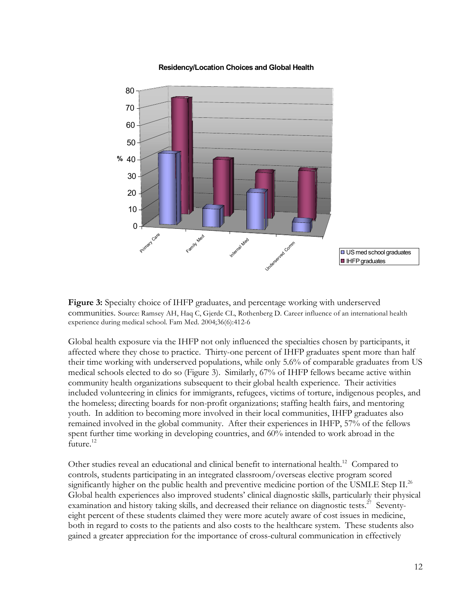

#### **Residency/Location Choices and Global Health**

**Figure 3:** Specialty choice of IHFP graduates, and percentage working with underserved communities. Source: Ramsey AH, Haq C, Gjerde CL, Rothenberg D. Career influence of an international health experience during medical school. Fam Med. 2004;36(6):412-6

Global health exposure via the IHFP not only influenced the specialties chosen by participants, it affected where they chose to practice. Thirty-one percent of IHFP graduates spent more than half their time working with underserved populations, while only 5.6% of comparable graduates from US medical schools elected to do so (Figure 3). Similarly, 67% of IHFP fellows became active within community health organizations subsequent to their global health experience. Their activities included volunteering in clinics for immigrants, refugees, victims of torture, indigenous peoples, and the homeless; directing boards for non-profit organizations; staffing health fairs, and mentoring youth. In addition to becoming more involved in their local communities, IHFP graduates also remained involved in the global community. After their experiences in IHFP, 57% of the fellows spent further time working in developing countries, and 60% intended to work abroad in the future.<sup>12</sup>

Other studies reveal an educational and clinical benefit to international health.<sup>12</sup> Compared to controls, students participating in an integrated classroom/overseas elective program scored significantly higher on the public health and preventive medicine portion of the USMLE Step II.<sup>26</sup> Global health experiences also improved students' clinical diagnostic skills, particularly their physical examination and history taking skills, and decreased their reliance on diagnostic tests.<sup>27</sup> Seventyeight percent of these students claimed they were more acutely aware of cost issues in medicine, both in regard to costs to the patients and also costs to the healthcare system. These students also gained a greater appreciation for the importance of cross-cultural communication in effectively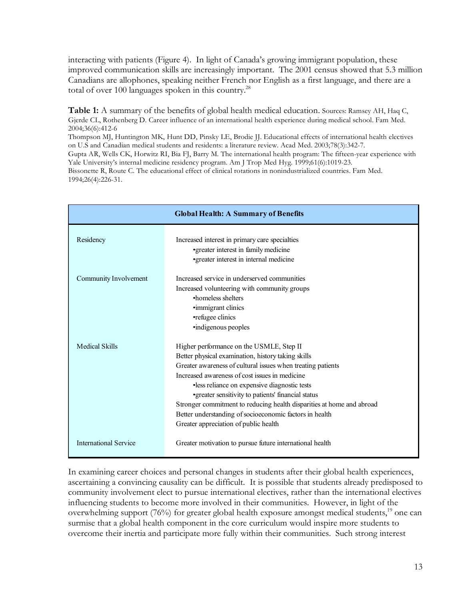interacting with patients (Figure 4). In light of Canada's growing immigrant population, these improved communication skills are increasingly important. The 2001 census showed that 5.3 million Canadians are allophones, speaking neither French nor English as a first language, and there are a total of over 100 languages spoken in this country.<sup>28</sup>

**Table 1:** A summary of the benefits of global health medical education. Sources: Ramsey AH, Haq C, Gjerde CL, Rothenberg D. Career influence of an international health experience during medical school. Fam Med. 2004;36(6):412-6

Thompson MJ, Huntington MK, Hunt DD, Pinsky LE, Brodie JJ. Educational effects of international health electives on U.S and Canadian medical students and residents: a literature review. Acad Med. 2003;78(3):342-7.

Gupta AR, Wells CK, Horwitz RI, Bia FJ, Barry M. The international health program: The fifteen-year experience with Yale University's internal medicine residency program. Am J Trop Med Hyg. 1999;61(6):1019-23.

Bissonette R, Route C. The educational effect of clinical rotations in nonindustrialized countries. Fam Med. 1994;26(4):226-31.

|                              | <b>Global Health: A Summary of Benefits</b>                                                                                                                                                                                                                                                                                                                                                                                                                                                         |
|------------------------------|-----------------------------------------------------------------------------------------------------------------------------------------------------------------------------------------------------------------------------------------------------------------------------------------------------------------------------------------------------------------------------------------------------------------------------------------------------------------------------------------------------|
| Residency                    | Increased interest in primary care specialties<br>•greater interest in family medicine<br>•greater interest in internal medicine                                                                                                                                                                                                                                                                                                                                                                    |
| Community Involvement        | Increased service in underserved communities<br>Increased volunteering with community groups<br>•homeless shelters<br>•immigrant clinics<br>•refugee clinics<br>·indigenous peoples                                                                                                                                                                                                                                                                                                                 |
| <b>Medical Skills</b>        | Higher performance on the USMLE, Step II<br>Better physical examination, history taking skills<br>Greater awareness of cultural issues when treating patients<br>Increased awareness of cost issues in medicine<br>·less reliance on expensive diagnostic tests<br>• greater sensitivity to patients' financial status<br>Stronger commitment to reducing health disparities at home and abroad<br>Better understanding of socioeconomic factors in health<br>Greater appreciation of public health |
| <b>International Service</b> | Greater motivation to pursue future international health                                                                                                                                                                                                                                                                                                                                                                                                                                            |

In examining career choices and personal changes in students after their global health experiences, ascertaining a convincing causality can be difficult. It is possible that students already predisposed to community involvement elect to pursue international electives, rather than the international electives influencing students to become more involved in their communities. However, in light of the overwhelming support (76%) for greater global health exposure amongst medical students,<sup>19</sup> one can surmise that a global health component in the core curriculum would inspire more students to overcome their inertia and participate more fully within their communities. Such strong interest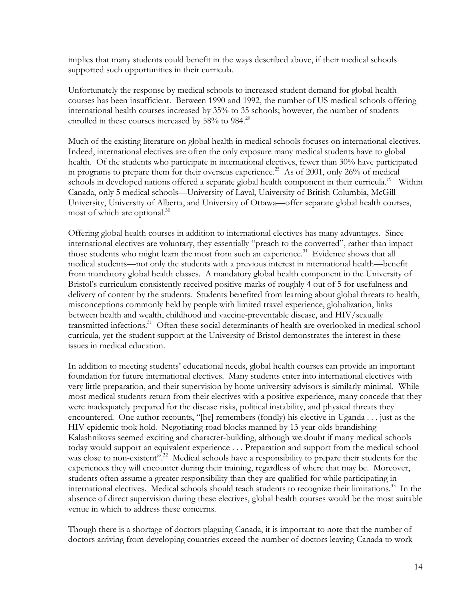implies that many students could benefit in the ways described above, if their medical schools supported such opportunities in their curricula.

Unfortunately the response by medical schools to increased student demand for global health courses has been insufficient. Between 1990 and 1992, the number of US medical schools offering international health courses increased by 35% to 35 schools; however, the number of students enrolled in these courses increased by 58% to 984.<sup>29</sup>

Much of the existing literature on global health in medical schools focuses on international electives. Indeed, international electives are often the only exposure many medical students have to global health. Of the students who participate in international electives, fewer than 30% have participated in programs to prepare them for their overseas experience.<sup>25</sup> As of 2001, only 26% of medical schools in developed nations offered a separate global health component in their curricula.<sup>19</sup> Within Canada, only 5 medical schools—University of Laval, University of British Columbia, McGill University, University of Alberta, and University of Ottawa—offer separate global health courses, most of which are optional. 30

Offering global health courses in addition to international electives has many advantages. Since international electives are voluntary, they essentially "preach to the converted", rather than impact those students who might learn the most from such an experience.<sup>31</sup> Evidence shows that all medical students—not only the students with a previous interest in international health—benefit from mandatory global health classes. A mandatory global health component in the University of Bristol's curriculum consistently received positive marks of roughly 4 out of 5 for usefulness and delivery of content by the students. Students benefited from learning about global threats to health, misconceptions commonly held by people with limited travel experience, globalization, links between health and wealth, childhood and vaccine-preventable disease, and HIV/sexually transmitted infections. <sup>31</sup> Often these social determinants of health are overlooked in medical school curricula, yet the student support at the University of Bristol demonstrates the interest in these issues in medical education.

In addition to meeting students' educational needs, global health courses can provide an important foundation for future international electives. Many students enter into international electives with very little preparation, and their supervision by home university advisors is similarly minimal. While most medical students return from their electives with a positive experience, many concede that they were inadequately prepared for the disease risks, political instability, and physical threats they encountered. One author recounts, "[he] remembers (fondly) his elective in Uganda . . . just as the HIV epidemic took hold. Negotiating road blocks manned by 13-year-olds brandishing Kalashnikovs seemed exciting and character-building, although we doubt if many medical schools today would support an equivalent experience . . . Preparation and support from the medical school was close to non-existent".<sup>32</sup> Medical schools have a responsibility to prepare their students for the experiences they will encounter during their training, regardless of where that may be. Moreover, students often assume a greater responsibility than they are qualified for while participating in international electives. Medical schools should teach students to recognize their limitations. <sup>33</sup> In the absence of direct supervision during these electives, global health courses would be the most suitable venue in which to address these concerns.

Though there is a shortage of doctors plaguing Canada, it is important to note that the number of doctors arriving from developing countries exceed the number of doctors leaving Canada to work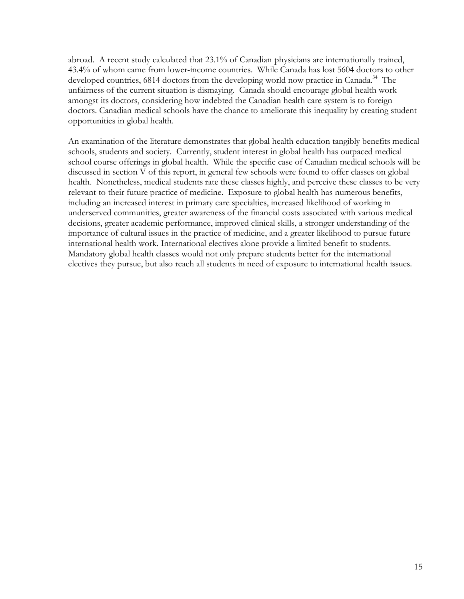abroad. A recent study calculated that 23.1% of Canadian physicians are internationally trained, 43.4% of whom came from lower-income countries. While Canada has lost 5604 doctors to other developed countries, 6814 doctors from the developing world now practice in Canada.<sup>34</sup> The unfairness of the current situation is dismaying. Canada should encourage global health work amongst its doctors, considering how indebted the Canadian health care system is to foreign doctors. Canadian medical schools have the chance to ameliorate this inequality by creating student opportunities in global health.

An examination of the literature demonstrates that global health education tangibly benefits medical schools, students and society. Currently, student interest in global health has outpaced medical school course offerings in global health. While the specific case of Canadian medical schools will be discussed in section V of this report, in general few schools were found to offer classes on global health. Nonetheless, medical students rate these classes highly, and perceive these classes to be very relevant to their future practice of medicine. Exposure to global health has numerous benefits, including an increased interest in primary care specialties, increased likelihood of working in underserved communities, greater awareness of the financial costs associated with various medical decisions, greater academic performance, improved clinical skills, a stronger understanding of the importance of cultural issues in the practice of medicine, and a greater likelihood to pursue future international health work. International electives alone provide a limited benefit to students. Mandatory global health classes would not only prepare students better for the international electives they pursue, but also reach all students in need of exposure to international health issues.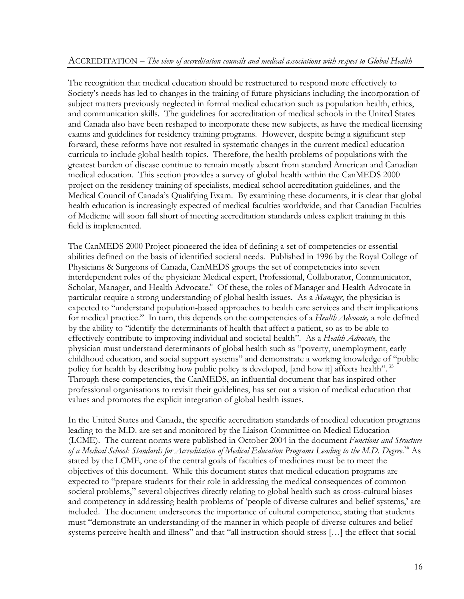The recognition that medical education should be restructured to respond more effectively to Society's needs has led to changes in the training of future physicians including the incorporation of subject matters previously neglected in formal medical education such as population health, ethics, and communication skills. The guidelines for accreditation of medical schools in the United States and Canada also have been reshaped to incorporate these new subjects, as have the medical licensing exams and guidelines for residency training programs. However, despite being a significant step forward, these reforms have not resulted in systematic changes in the current medical education curricula to include global health topics. Therefore, the health problems of populations with the greatest burden of disease continue to remain mostly absent from standard American and Canadian medical education. This section provides a survey of global health within the CanMEDS 2000 project on the residency training of specialists, medical school accreditation guidelines, and the Medical Council of Canada's Qualifying Exam. By examining these documents, it is clear that global health education is increasingly expected of medical faculties worldwide, and that Canadian Faculties of Medicine will soon fall short of meeting accreditation standards unless explicit training in this field is implemented.

The CanMEDS 2000 Project pioneered the idea of defining a set of competencies or essential abilities defined on the basis of identified societal needs. Published in 1996 by the Royal College of Physicians & Surgeons of Canada, CanMEDS groups the set of competencies into seven interdependent roles of the physician: Medical expert, Professional, Collaborator, Communicator, Scholar, Manager, and Health Advocate.<sup>6</sup> Of these, the roles of Manager and Health Advocate in particular require a strong understanding of global health issues. As a *Manager*, the physician is expected to "understand population-based approaches to health care services and their implications for medical practice." In turn, this depends on the competencies of a *Health Advocate,* a role defined by the ability to "identify the determinants of health that affect a patient, so as to be able to effectively contribute to improving individual and societal health". As a *Health Advocate,* the physician must understand determinants of global health such as "poverty, unemployment, early childhood education, and social support systems" and demonstrate a working knowledge of "public policy for health by describing how public policy is developed, [and how it] affects health".<sup>35</sup> Through these competencies, the CanMEDS, an influential document that has inspired other professional organisations to revisit their guidelines, has set out a vision of medical education that values and promotes the explicit integration of global health issues.

In the United States and Canada, the specific accreditation standards of medical education programs leading to the M.D. are set and monitored by the Liaison Committee on Medical Education (LCME). The current norms were published in October 2004 in the document *Functions and Structure of a Medical School: Standards for Accreditation of Medical Education Programs Leading to the M.D. Degree*. <sup>36</sup> As stated by the LCME, one of the central goals of faculties of medicines must be to meet the objectives of this document. While this document states that medical education programs are expected to "prepare students for their role in addressing the medical consequences of common societal problems," several objectives directly relating to global health such as cross-cultural biases and competency in addressing health problems of 'people of diverse cultures and belief systems,' are included. The document underscores the importance of cultural competence, stating that students must "demonstrate an understanding of the manner in which people of diverse cultures and belief systems perceive health and illness" and that "all instruction should stress […] the effect that social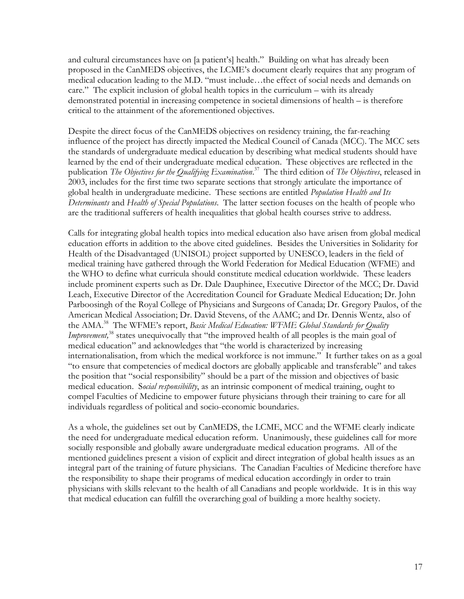and cultural circumstances have on [a patient's] health." Building on what has already been proposed in the CanMEDS objectives, the LCME's document clearly requires that any program of medical education leading to the M.D. "must include…the effect of social needs and demands on care." The explicit inclusion of global health topics in the curriculum – with its already demonstrated potential in increasing competence in societal dimensions of health – is therefore critical to the attainment of the aforementioned objectives.

Despite the direct focus of the CanMEDS objectives on residency training, the far-reaching influence of the project has directly impacted the Medical Council of Canada (MCC). The MCC sets the standards of undergraduate medical education by describing what medical students should have learned by the end of their undergraduate medical education. These objectives are reflected in the publication *The Objectives for the Qualifying Examination*. <sup>37</sup> The third edition of *The Objectives*, released in 2003, includes for the first time two separate sections that strongly articulate the importance of global health in undergraduate medicine. These sections are entitled *Population Health and Its Determinants* and *Health of Special Populations*. The latter section focuses on the health of people who are the traditional sufferers of health inequalities that global health courses strive to address.

Calls for integrating global health topics into medical education also have arisen from global medical education efforts in addition to the above cited guidelines. Besides the Universities in Solidarity for Health of the Disadvantaged (UNISOL) project supported by UNESCO, leaders in the field of medical training have gathered through the World Federation for Medical Education (WFME) and the WHO to define what curricula should constitute medical education worldwide. These leaders include prominent experts such as Dr. Dale Dauphinee, Executive Director of the MCC; Dr. David Leach, Executive Director of the Accreditation Council for Graduate Medical Education; Dr. John Parboosingh of the Royal College of Physicians and Surgeons of Canada; Dr. Gregory Paulos, of the American Medical Association; Dr. David Stevens, of the AAMC; and Dr. Dennis Wentz, also of the AMA. <sup>38</sup> The WFME's report, *Basic Medical Education: WFME Global Standards for Quality* Improvement,<sup>38</sup> states unequivocally that "the improved health of all peoples is the main goal of medical education" and acknowledges that "the world is characterized by increasing internationalisation, from which the medical workforce is not immune." It further takes on as a goal "to ensure that competencies of medical doctors are globally applicable and transferable" and takes the position that "social responsibility" should be a part of the mission and objectives of basic medical education. S*ocial responsibility*, as an intrinsic component of medical training, ought to compel Faculties of Medicine to empower future physicians through their training to care for all individuals regardless of political and socio-economic boundaries.

As a whole, the guidelines set out by CanMEDS, the LCME, MCC and the WFME clearly indicate the need for undergraduate medical education reform. Unanimously, these guidelines call for more socially responsible and globally aware undergraduate medical education programs. All of the mentioned guidelines present a vision of explicit and direct integration of global health issues as an integral part of the training of future physicians. The Canadian Faculties of Medicine therefore have the responsibility to shape their programs of medical education accordingly in order to train physicians with skills relevant to the health of all Canadians and people worldwide. It is in this way that medical education can fulfill the overarching goal of building a more healthy society.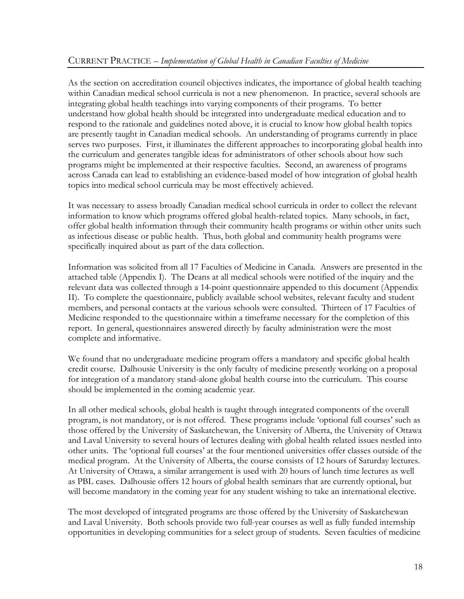As the section on accreditation council objectives indicates, the importance of global health teaching within Canadian medical school curricula is not a new phenomenon. In practice, several schools are integrating global health teachings into varying components of their programs. To better understand how global health should be integrated into undergraduate medical education and to respond to the rationale and guidelines noted above, it is crucial to know how global health topics are presently taught in Canadian medical schools. An understanding of programs currently in place serves two purposes. First, it illuminates the different approaches to incorporating global health into the curriculum and generates tangible ideas for administrators of other schools about how such programs might be implemented at their respective faculties. Second, an awareness of programs across Canada can lead to establishing an evidence-based model of how integration of global health topics into medical school curricula may be most effectively achieved.

It was necessary to assess broadly Canadian medical school curricula in order to collect the relevant information to know which programs offered global health-related topics. Many schools, in fact, offer global health information through their community health programs or within other units such as infectious disease or public health. Thus, both global and community health programs were specifically inquired about as part of the data collection.

Information was solicited from all 17 Faculties of Medicine in Canada. Answers are presented in the attached table (Appendix I). The Deans at all medical schools were notified of the inquiry and the relevant data was collected through a 14-point questionnaire appended to this document (Appendix II). To complete the questionnaire, publicly available school websites, relevant faculty and student members, and personal contacts at the various schools were consulted. Thirteen of 17 Faculties of Medicine responded to the questionnaire within a timeframe necessary for the completion of this report. In general, questionnaires answered directly by faculty administration were the most complete and informative.

We found that no undergraduate medicine program offers a mandatory and specific global health credit course. Dalhousie University is the only faculty of medicine presently working on a proposal for integration of a mandatory stand-alone global health course into the curriculum. This course should be implemented in the coming academic year.

In all other medical schools, global health is taught through integrated components of the overall program, is not mandatory, or is not offered. These programs include 'optional full courses' such as those offered by the University of Saskatchewan, the University of Alberta, the University of Ottawa and Laval University to several hours of lectures dealing with global health related issues nestled into other units. The 'optional full courses' at the four mentioned universities offer classes outside of the medical program. At the University of Alberta, the course consists of 12 hours of Saturday lectures. At University of Ottawa, a similar arrangement is used with 20 hours of lunch time lectures as well as PBL cases. Dalhousie offers 12 hours of global health seminars that are currently optional, but will become mandatory in the coming year for any student wishing to take an international elective.

The most developed of integrated programs are those offered by the University of Saskatchewan and Laval University. Both schools provide two full-year courses as well as fully funded internship opportunities in developing communities for a select group of students. Seven faculties of medicine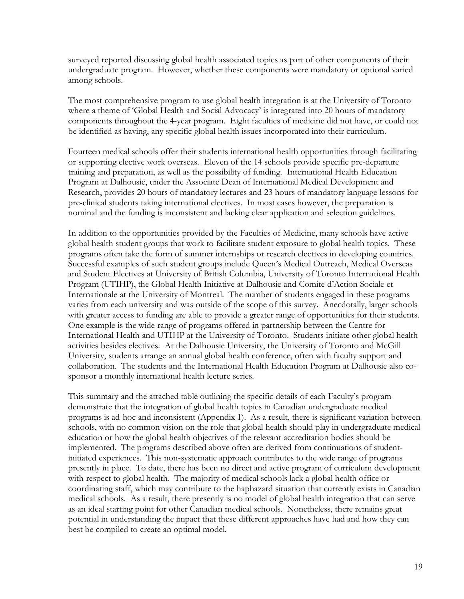surveyed reported discussing global health associated topics as part of other components of their undergraduate program. However, whether these components were mandatory or optional varied among schools.

The most comprehensive program to use global health integration is at the University of Toronto where a theme of 'Global Health and Social Advocacy' is integrated into 20 hours of mandatory components throughout the 4-year program. Eight faculties of medicine did not have, or could not be identified as having, any specific global health issues incorporated into their curriculum.

Fourteen medical schools offer their students international health opportunities through facilitating or supporting elective work overseas. Eleven of the 14 schools provide specific pre-departure training and preparation, as well as the possibility of funding. International Health Education Program at Dalhousie, under the Associate Dean of International Medical Development and Research, provides 20 hours of mandatory lectures and 23 hours of mandatory language lessons for pre-clinical students taking international electives. In most cases however, the preparation is nominal and the funding is inconsistent and lacking clear application and selection guidelines.

In addition to the opportunities provided by the Faculties of Medicine, many schools have active global health student groups that work to facilitate student exposure to global health topics. These programs often take the form of summer internships or research electives in developing countries. Successful examples of such student groups include Queen's Medical Outreach, Medical Overseas and Student Electives at University of British Columbia, University of Toronto International Health Program (UTIHP), the Global Health Initiative at Dalhousie and Comite d'Action Sociale et Internationale at the University of Montreal. The number of students engaged in these programs varies from each university and was outside of the scope of this survey. Anecdotally, larger schools with greater access to funding are able to provide a greater range of opportunities for their students. One example is the wide range of programs offered in partnership between the Centre for International Health and UTIHP at the University of Toronto. Students initiate other global health activities besides electives. At the Dalhousie University, the University of Toronto and McGill University, students arrange an annual global health conference, often with faculty support and collaboration. The students and the International Health Education Program at Dalhousie also cosponsor a monthly international health lecture series.

This summary and the attached table outlining the specific details of each Faculty's program demonstrate that the integration of global health topics in Canadian undergraduate medical programs is ad-hoc and inconsistent (Appendix 1). As a result, there is significant variation between schools, with no common vision on the role that global health should play in undergraduate medical education or how the global health objectives of the relevant accreditation bodies should be implemented. The programs described above often are derived from continuations of studentinitiated experiences. This non-systematic approach contributes to the wide range of programs presently in place. To date, there has been no direct and active program of curriculum development with respect to global health. The majority of medical schools lack a global health office or coordinating staff, which may contribute to the haphazard situation that currently exists in Canadian medical schools. As a result, there presently is no model of global health integration that can serve as an ideal starting point for other Canadian medical schools. Nonetheless, there remains great potential in understanding the impact that these different approaches have had and how they can best be compiled to create an optimal model.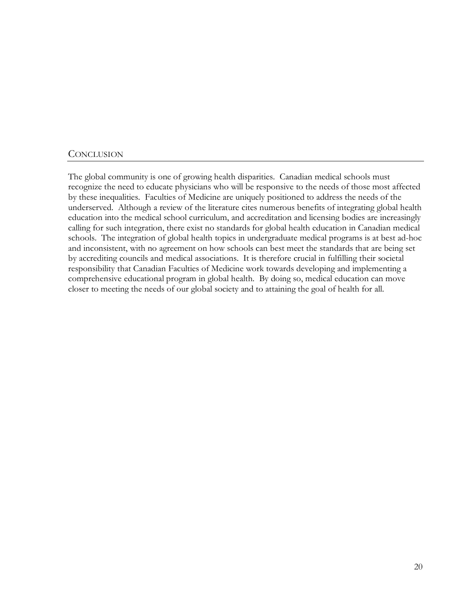#### **CONCLUSION**

The global community is one of growing health disparities. Canadian medical schools must recognize the need to educate physicians who will be responsive to the needs of those most affected by these inequalities. Faculties of Medicine are uniquely positioned to address the needs of the underserved. Although a review of the literature cites numerous benefits of integrating global health education into the medical school curriculum, and accreditation and licensing bodies are increasingly calling for such integration, there exist no standards for global health education in Canadian medical schools. The integration of global health topics in undergraduate medical programs is at best ad-hoc and inconsistent, with no agreement on how schools can best meet the standards that are being set by accrediting councils and medical associations. It is therefore crucial in fulfilling their societal responsibility that Canadian Faculties of Medicine work towards developing and implementing a comprehensive educational program in global health. By doing so, medical education can move closer to meeting the needs of our global society and to attaining the goal of health for all.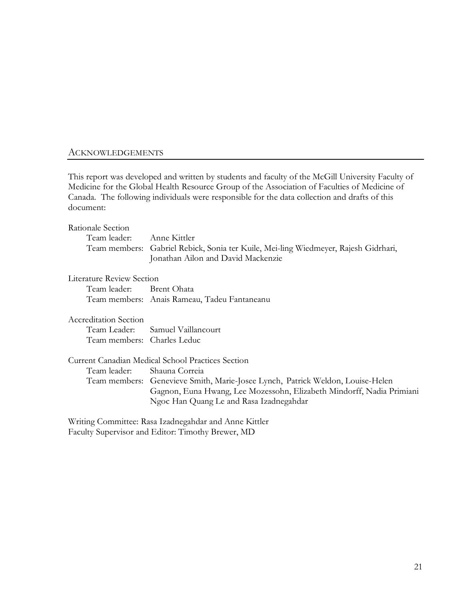#### ACKNOWLEDGEMENTS

This report was developed and written by students and faculty of the McGill University Faculty of Medicine for the Global Health Resource Group of the Association of Faculties of Medicine of Canada. The following individuals were responsible for the data collection and drafts of this document:

#### Rationale Section

| Team leader: Anne Kittler |                                                                                     |
|---------------------------|-------------------------------------------------------------------------------------|
|                           | Team members: Gabriel Rebick, Sonia ter Kuile, Mei-ling Wiedmeyer, Rajesh Gidrhari, |
|                           | Jonathan Ailon and David Mackenzie                                                  |

#### Literature Review Section

Team leader: Brent Ohata Team members: Anais Rameau, Tadeu Fantaneanu

#### Accreditation Section

Team Leader: Samuel Vaillancourt Team members: Charles Leduc

Current Canadian Medical School Practices Section

Team leader: Shauna Correia

Team members: Genevieve Smith, Marie-Josee Lynch, Patrick Weldon, Louise-Helen Gagnon, Euna Hwang, Lee Mozessohn, Elizabeth Mindorff, Nadia Primiani Ngoc Han Quang Le and Rasa Izadnegahdar

Writing Committee: Rasa Izadnegahdar and Anne Kittler Faculty Supervisor and Editor: Timothy Brewer, MD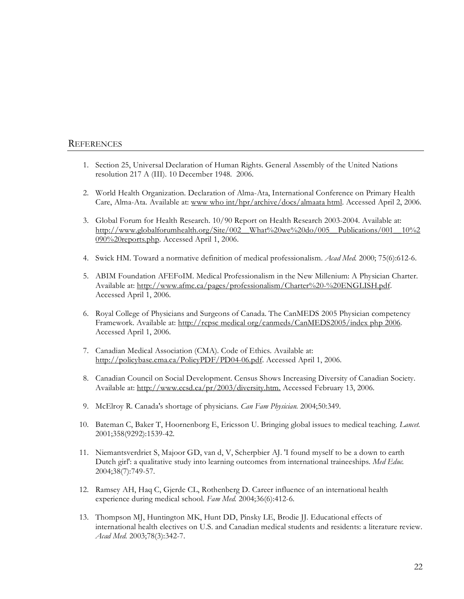#### **REFERENCES**

- 1. Section 25, Universal Declaration of Human Rights. General Assembly of the United Nations resolution 217 A (III). 10 December 1948. 2006.
- 2. World Health Organization. Declaration of Alma-Ata, International Conference on Primary Health Care, Alma-Ata. Available at: www who int/hpr/archive/docs/almaata html. Accessed April 2, 2006.
- 3. Global Forum for Health Research. 10/90 Report on Health Research 2003-2004. Available at: http://www.globalforumhealth.org/Site/002\_\_What%20we%20do/005\_\_Publications/001\_\_10%2 090%20reports.php. Accessed April 1, 2006.
- 4. Swick HM. Toward a normative definition of medical professionalism. *Acad Med.* 2000; 75(6):612-6.
- 5. ABIM Foundation AFEFoIM. Medical Professionalism in the New Millenium: A Physician Charter. Available at: http://www.afmc.ca/pages/professionalism/Charter%20-%20ENGLISH.pdf. Accessed April 1, 2006.
- 6. Royal College of Physicians and Surgeons of Canada. The CanMEDS 2005 Physician competency Framework. Available at: http://rcpsc medical org/canmeds/CanMEDS2005/index php 2006. Accessed April 1, 2006.
- 7. Canadian Medical Association (CMA). Code of Ethics. Available at: http://policybase.cma.ca/PolicyPDF/PD04-06.pdf. Accessed April 1, 2006.
- 8. Canadian Council on Social Development. Census Shows Increasing Diversity of Canadian Society. Available at: http://www.ccsd.ca/pr/2003/diversity.htm. Accessed February 13, 2006.
- 9. McElroy R. Canada's shortage of physicians. *Can Fam Physician.* 2004;50:349.
- 10. Bateman C, Baker T, Hoornenborg E, Ericsson U. Bringing global issues to medical teaching. *Lancet.* 2001;358(9292):1539-42.
- 11. Niemantsverdriet S, Majoor GD, van d, V, Scherpbier AJ. 'I found myself to be a down to earth Dutch girl': a qualitative study into learning outcomes from international traineeships. *Med Educ.* 2004;38(7):749-57.
- 12. Ramsey AH, Haq C, Gjerde CL, Rothenberg D. Career influence of an international health experience during medical school. *Fam Med.* 2004;36(6):412-6.
- 13. Thompson MJ, Huntington MK, Hunt DD, Pinsky LE, Brodie JJ. Educational effects of international health electives on U.S. and Canadian medical students and residents: a literature review. *Acad Med.* 2003;78(3):342-7.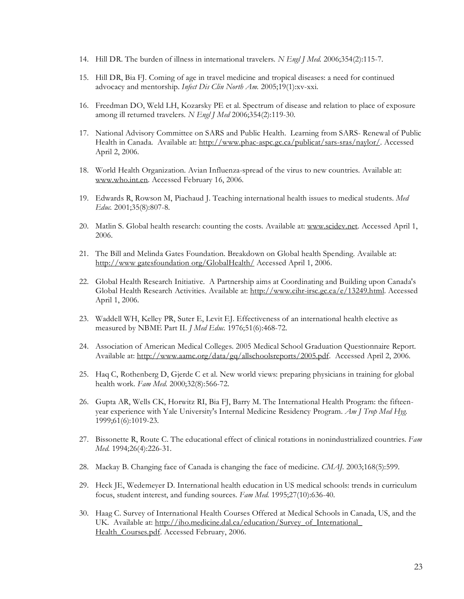- 14. Hill DR. The burden of illness in international travelers. *N Engl J Med.* 2006;354(2):115-7.
- 15. Hill DR, Bia FJ. Coming of age in travel medicine and tropical diseases: a need for continued advocacy and mentorship. *Infect Dis Clin North Am.* 2005;19(1):xv-xxi.
- 16. Freedman DO, Weld LH, Kozarsky PE et al. Spectrum of disease and relation to place of exposure among ill returned travelers. *N Engl J Med* 2006;354(2):119-30.
- 17. National Advisory Committee on SARS and Public Health. Learning from SARS- Renewal of Public Health in Canada. Available at: http://www.phac-aspc.gc.ca/publicat/sars-sras/naylor/. Accessed April 2, 2006.
- 18. World Health Organization. Avian Influenza-spread of the virus to new countries. Available at: www.who.int.en. Accessed February 16, 2006.
- 19. Edwards R, Rowson M, Piachaud J. Teaching international health issues to medical students. *Med Educ.* 2001;35(8):807-8.
- 20. Matlin S. Global health research: counting the costs. Available at: www.scidev.net. Accessed April 1, 2006.
- 21. The Bill and Melinda Gates Foundation. Breakdown on Global health Spending. Available at: http://www gatesfoundation org/GlobalHealth/ Accessed April 1, 2006.
- 22. Global Health Research Initiative. A Partnership aims at Coordinating and Building upon Canada's Global Health Research Activities. Available at: http://www.cihr-irsc.gc.ca/e/13249.html. Accessed April 1, 2006.
- 23. Waddell WH, Kelley PR, Suter E, Levit EJ. Effectiveness of an international health elective as measured by NBME Part II. *J Med Educ.* 1976;51(6):468-72.
- 24. Association of American Medical Colleges. 2005 Medical School Graduation Questionnaire Report. Available at: http://www.aamc.org/data/gq/allschoolsreports/2005.pdf. Accessed April 2, 2006.
- 25. Haq C, Rothenberg D, Gjerde C et al. New world views: preparing physicians in training for global health work. *Fam Med.* 2000;32(8):566-72.
- 26. Gupta AR, Wells CK, Horwitz RI, Bia FJ, Barry M. The International Health Program: the fifteenyear experience with Yale University's Internal Medicine Residency Program. *Am J Trop Med Hyg.* 1999;61(6):1019-23.
- 27. Bissonette R, Route C. The educational effect of clinical rotations in nonindustrialized countries. *Fam Med.* 1994;26(4):226-31.
- 28. Mackay B. Changing face of Canada is changing the face of medicine. *CMAJ.* 2003;168(5):599.
- 29. Heck JE, Wedemeyer D. International health education in US medical schools: trends in curriculum focus, student interest, and funding sources. *Fam Med.* 1995;27(10):636-40.
- 30. Haag C. Survey of International Health Courses Offered at Medical Schools in Canada, US, and the UK. Available at: http://iho.medicine.dal.ca/education/Survey\_of\_International\_ Health\_Courses.pdf. Accessed February, 2006.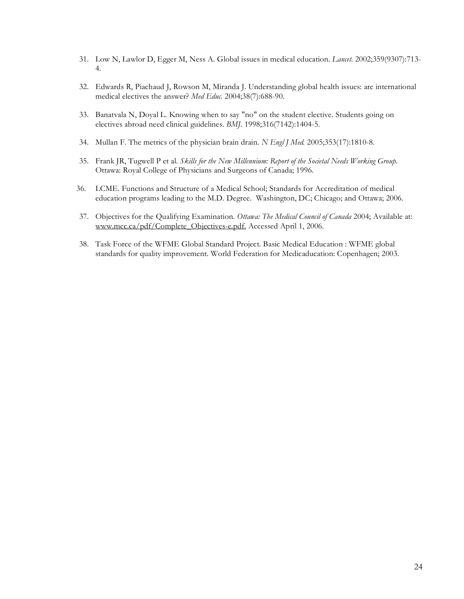- 31. Low N, Lawlor D, Egger M, Ness A. Global issues in medical education. *Lancet.* 2002;359(9307):713- 4.
- 32. Edwards R, Piachaud J, Rowson M, Miranda J. Understanding global health issues: are international medical electives the answer? *Med Educ.* 2004;38(7):688-90.
- 33. Banatvala N, Doyal L. Knowing when to say "no" on the student elective. Students going on electives abroad need clinical guidelines. *BMJ.* 1998;316(7142):1404-5.
- 34. Mullan F. The metrics of the physician brain drain. *N Engl J Med.* 2005;353(17):1810-8.
- 35. Frank JR, Tugwell P et al. *Skills for the New Millennium: Report of the Societal Needs Working Group*. Ottawa: Royal College of Physicians and Surgeons of Canada; 1996.
- 36. LCME. Functions and Structure of a Medical School; Standards for Accreditation of medical education programs leading to the M.D. Degree. Washington, DC; Chicago; and Ottawa; 2006.
- 37. Objectives for the Qualifying Examination. *Ottawa: The Medical Council of Canada* 2004; Available at: www.mcc.ca/pdf/Complete\_Objectives-e.pdf. Accessed April 1, 2006.
- 38. Task Force of the WFME Global Standard Project. Basic Medical Education : WFME global standards for quality improvement. World Federation for Medicaducation: Copenhagen; 2003.